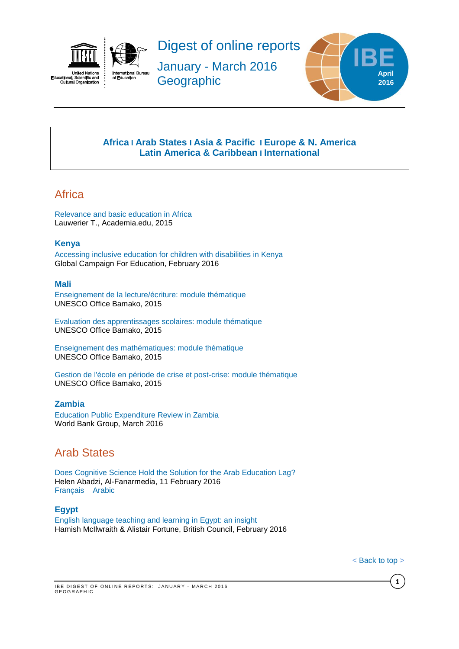



Digest of online reports

January - March 2016 **Geographic** 



## **[Africa](#page-0-0) I [Arab States](#page-0-1) I [Asia & Pacific](#page-1-0) I [Europe & N. America](#page-1-1) Latin America & Caribbean I [International](#page-4-0)**

# <span id="page-0-0"></span>Africa

[Relevance and basic education in Africa](https://www.academia.edu/20188056/Lauwerier_T._2015_._Relevance_and_basic_education_in_Africa) Lauwerier T., Academia.edu, 2015

## **Kenya**

[Accessing inclusive education for children with disabilities in Kenya](https://www.leonardcheshire.org/sites/default/files/Accessing-inclusive-education-children-disabilities-kenya-gce-appg-report-february-2016.pdf) Global Campaign For Education, February 2016

## **Mali**

[Enseignement de la lecture/écriture: module thématique](http://unesdoc.unesco.org/images/0024/002439/243972f.pdf) UNESCO Office Bamako, 2015

[Evaluation des apprentissages scolaires: module thématique](http://unesdoc.unesco.org/images/0024/002439/243971f.pdf) UNESCO Office Bamako, 2015

[Enseignement des mathématiques: module thématique](http://unesdoc.unesco.org/images/0024/002439/243970f.pdf) UNESCO Office Bamako, 2015

[Gestion de l'école en période de crise et post-crise: module thématique](http://unesdoc.unesco.org/images/0024/002439/243968f.pdf) UNESCO Office Bamako, 2015

## **Zambia**

[Education Public Expenditure Review in Zambia](https://openknowledge.worldbank.org/bitstream/handle/10986/23883/K8640.pdf?sequence=2&isAllowed=y) World Bank Group, March 2016

# <span id="page-0-1"></span>Arab States

[Does Cognitive Science Hold the Solution for the Arab Education Lag?](http://www.al-fanarmedia.org/2016/02/does-cognitive-science-hold-the-solution-for-the-arab-education-lag/) Helen Abadzi, Al-Fanarmedia, 11 February 2016 [Français](https://varlyproject.wordpress.com/2016/02/15/est-ce-que-les-sciences-cognitives-detiennent-la-solution-pour-le-retard-en-education-dans-le-monde-arabe/) [Arabic](http://www.al-fanarmedia.org/ar/2016/02/%D9%87%D9%84-%D9%8A%D9%85%D9%84%D9%83-%D8%A7%D9%84%D8%B9%D9%84%D9%85-%D8%A7%D9%84%D8%A5%D8%AF%D8%B1%D8%A7%D9%83%D9%8A-%D8%A7%D9%84%D8%AD%D9%84-%D9%84%D9%85%D8%B4%D9%83%D9%84%D8%A9-%D8%AA%D8%A3%D8%AE/)

## **Egypt**

[English language teaching and learning in Egypt: an insight](http://www.teachingenglish.org.uk/sites/teacheng/files/F239_English%20Language%20in%20Egypt_FINAL%20web.pdf) Hamish McIlwraith & Alistair Fortune, British Council, February 2016

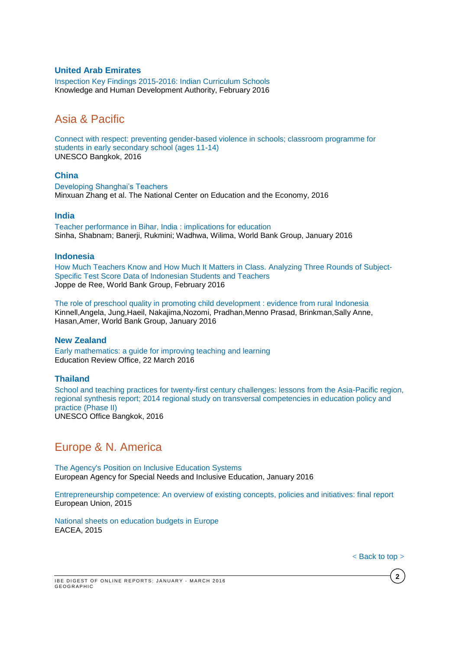### **United Arab Emirates**

[Inspection Key Findings 2015-2016: Indian Curriculum Schools](https://www.khda.gov.ae/Areas/Administration/Content/FileUploads/Publication/Documents/English/20160221113114_Performance_Of_Indian_Schools_in_Dubai_Pages.pdf) Knowledge and Human Development Authority, February 2016

# <span id="page-1-0"></span>Asia & Pacific

[Connect with respect: preventing gender-based violence in schools; classroom programme for](http://unesdoc.unesco.org/images/0024/002432/243252e.pdf)  [students in early secondary school \(ages 11-14\)](http://unesdoc.unesco.org/images/0024/002432/243252e.pdf) UNESCO Bangkok, 2016

#### **China**

[Developing Shanghai's Teachers](http://www.ncee.org/wp-content/uploads/2016/01/DevelopingShanghaiTeachersWEB.pdf) Minxuan Zhang et al. The National Center on Education and the Economy, 2016

## **India**

[Teacher performance in Bihar, India : implications for education](http://documents.worldbank.org/curated/en/2016/01/25798704/teacher-performance-bihar-india-implications-education) Sinha, Shabnam; Banerji, Rukmini; Wadhwa, Wilima, World Bank Group, January 2016

#### **Indonesia**

[How Much Teachers Know and How Much It Matters in Class. Analyzing Three Rounds of Subject-](http://www-wds.worldbank.org/external/default/WDSContentServer/WDSP/IB/2016/02/02/090224b084133274/1_0/Rendered/PDF/How0much0teach0tudents0and0teachers.pdf)[Specific Test Score Data of Indonesian Students and Teachers](http://www-wds.worldbank.org/external/default/WDSContentServer/WDSP/IB/2016/02/02/090224b084133274/1_0/Rendered/PDF/How0much0teach0tudents0and0teachers.pdf) Joppe de Ree, World Bank Group, February 2016

[The role of preschool quality in promoting child development : evidence from rural Indonesia](http://www-wds.worldbank.org/external/default/WDSContentServer/WDSP/T_MNA/2016/01/05/090224b08400f637/1_0/Rendered/PDF/The0role0of0pr0from0rural0Indonesia.pdf) Kinnell,Angela, Jung,Haeil, Nakajima,Nozomi, Pradhan,Menno Prasad, Brinkman,Sally Anne, Hasan,Amer, World Bank Group, January 2016

#### **New Zealand**

[Early mathematics: a guide for improving teaching and learning](http://www.ero.govt.nz/National-Reports/Early-mathematics-a-guide-for-improving-teaching-and-learning-March-2016) Education Review Office, 22 March 2016

### **Thailand**

[School and teaching practices for twenty-first century challenges: lessons from the Asia-Pacific region,](http://unesdoc.unesco.org/images/0024/002440/244022e.pdf)  regional synthesis report; [2014 regional study on transversal competencies in education policy and](http://unesdoc.unesco.org/images/0024/002440/244022e.pdf)  [practice \(Phase II\)](http://unesdoc.unesco.org/images/0024/002440/244022e.pdf) UNESCO Office Bangkok, 2016

# <span id="page-1-1"></span>Europe & N. America

[The Agency's Position on Inclusive Education Systems](https://www.european-agency.org/news/the-agencys-position-on-inclusive-education-systems) European Agency for Special Needs and Inclusive Education, January 2016

[Entrepreneurship competence: An overview of existing concepts, policies and initiatives: final report](http://bookshop.europa.eu/is-bin/INTERSHOP.enfinity/WFS/EU-Bookshop-Site/en_GB/-/EUR/ViewPublication-Start?PublicationKey=LFNA27472) European Union, 2015

[National sheets on education budgets in Europe](http://bookshop.europa.eu/en/national-sheets-on-education-budgets-in-europe-pbECAG16001/?CatalogCategoryID=AGwKABstsBgAAAEjpJEY4e5L) EACEA, 2015

**2**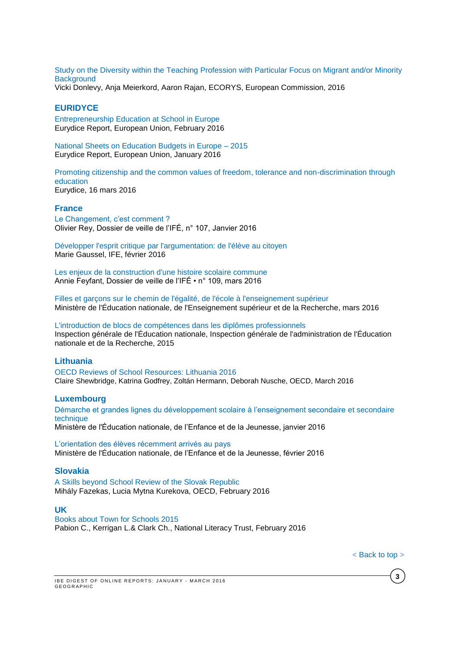[Study on the Diversity within the Teaching Profession with Particular Focus on Migrant and/or Minority](http://ec.europa.eu/education/library/study/2016/teacher-diversity_en.pdf)  **[Background](http://ec.europa.eu/education/library/study/2016/teacher-diversity_en.pdf)** 

Vicki Donlevy, Anja Meierkord, Aaron Rajan, ECORYS, European Commission, 2016

## **EURIDYCE**

[Entrepreneurship Education at School in Europe](https://webgate.ec.europa.eu/fpfis/mwikis/eurydice/index.php/Publications:Entrepreneurship_Education_at_School_in_Europe_-_2016_Edition) Eurydice Report, European Union, February 2016

[National Sheets on Education Budgets in Europe –](https://webgate.ec.europa.eu/fpfis/mwikis/eurydice/index.php/Publications:National_Sheets_on_Education_Budgets_in_Europe_%E2%80%93_2015) 2015 Eurydice Report, European Union, January 2016

[Promoting citizenship and the common values of freedom, tolerance and non-discrimination through](https://webgate.ec.europa.eu/fpfis/mwikis/eurydice/images/1/14/Leaflet_Paris_Declaration.pdf)  [education](https://webgate.ec.europa.eu/fpfis/mwikis/eurydice/images/1/14/Leaflet_Paris_Declaration.pdf) Eurydice, 16 mars 2016

### **France**

[Le Changement, c'est comment ?](http://ife.ens-lyon.fr/vst/DA-Veille/107-janvier-2016.pdf) Olivier Rey, Dossier de veille de l'IFÉ, n° 107, Janvier 2016

[Développer l'esprit critique par l'argumentation: de l'élève au citoyen](http://ife.ens-lyon.fr/vst/DA-Veille/108-fevrier-2016.pdf) Marie Gaussel, IFE, février 2016

[Les enjeux de la construction d'une histoire scolaire commune](http://ife.ens-lyon.fr/vst/DA-Veille/109-mars-2016.pdf) Annie Feyfant, Dossier de veille de l'IFÉ • n° 109, mars 2016

[Filles et garçons sur le chemin de l'égalité, de l'école à l'enseignement supérieur](http://cache.media.education.gouv.fr/file/2016/40/1/FetG_2016_542401.pdf) Ministère de l'Éducation nationale, de l'Enseignement supérieur et de la Recherche, mars 2016

[L'introduction de blocs de compétences dans les diplômes professionnels](http://cache.media.education.gouv.fr/file/2015/23/3/2015-078_blocs_competences_531233.pdf) Inspection générale de l'Éducation nationale, Inspection générale de l'administration de l'Éducation nationale et de la Recherche, 2015

### **Lithuania**

[OECD Reviews of School Resources: Lithuania 2016](http://www.oecd-ilibrary.org/docserver/download/9116051e.pdf?expires=1459347274&id=id&accname=guest&checksum=939F489D4BE4E30257B1786E42EEC130) Claire Shewbridge, Katrina Godfrey, Zoltán Hermann, Deborah Nusche, OECD, March 2016

### **Luxembourg**

[Démarche et grandes lignes du développement scolaire à l'enseignement secondaire](http://www.men.public.lu/catalogue-publications/systeme-educatif/dossiers-presse/2015-2016/160120-dev-es-est.pdf) et secondaire [technique](http://www.men.public.lu/catalogue-publications/systeme-educatif/dossiers-presse/2015-2016/160120-dev-es-est.pdf) Ministère de l'Éducation nationale, de l'Enfance et de la Jeunesse, janvier 2016

[L'orientation des élèves récemment arrivés au pays](http://www.men.public.lu/catalogue-publications/systeme-educatif/scolarisation-eleves-etrangers/brochures-enseignants/orientation-ena/orientation-ena.pdf) Ministère de l'Éducation nationale, de l'Enfance et de la Jeunesse, février 2016

#### **Slovakia**

[A Skills beyond School Review of the Slovak Republic](http://www.oecd-ilibrary.org/docserver/download/9115041e.pdf?expires=1456220179&id=id&accname=guest&checksum=1FC43FCC666726B98A2FBEF94EB9AE2C) Mihály Fazekas, Lucia Mytna Kurekova, OECD, February 2016

### **UK**

[Books about Town for Schools 2015](http://www.literacytrust.org.uk/assets/0002/9818/Books_About_Town_Evaluation_Report_2015.pdf) Pabion C., Kerrigan L.& Clark Ch., National Literacy Trust, February 2016

**3**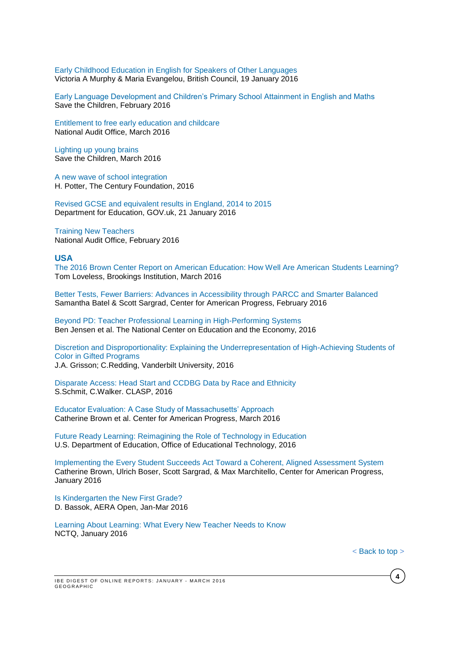[Early Childhood Education in English for Speakers of Other Languages](http://www.teachingenglish.org.uk/sites/teacheng/files/F240%20Early%20Childhood%20Education%20inners%20FINAL%20web.pdf) Victoria A Murphy & Maria Evangelou, British Council, 19 January 2016

[Early Language Development and Children's Primary School Attainment in English and Maths](http://www.savethechildren.org.uk/sites/default/files/images/early_language_development_briefing_paper.pdf) Save the Children, February 2016

[Entitlement to free early education and childcare](https://www.nao.org.uk/wp-content/uploads/2016/03/Entitlement-to-free-early-education-and-childcare.pdf) National Audit Office, March 2016

[Lighting up young brains](http://www.savethechildren.org.uk/sites/default/files/docs/Lighting_Up_Young_Brains.pdf) Save the Children, March 2016

[A new wave of school integration](http://www.tcf.org/assets/downloads/ANewWave_Potter.pdf) H. Potter, The Century Foundation, 2016

[Revised GCSE and equivalent results in England, 2014 to 2015](https://www.gov.uk/government/uploads/system/uploads/attachment_data/file/494073/SFR01_2016.pdf) Department for Education, GOV.uk, 21 January 2016

[Training New Teachers](https://www.nao.org.uk/wp-content/uploads/2016/02/Training-new-teachers.pdf) National Audit Office, February 2016

#### **USA**

[The 2016 Brown Center Report on American Education: How Well Are American Students Learning?](http://www.brookings.edu/~/media/Research/Files/Reports/2016/03/brown-center-report/Brown-Center-Report-2016.pdf?la=en) Tom Loveless, Brookings Institution, March 2016

[Better Tests, Fewer Barriers: Advances in Accessibility through PARCC and Smarter Balanced](https://cdn.americanprogress.org/wp-content/uploads/2016/02/24083809/AssessmentAccessibility-report.pdf) Samantha Batel & Scott Sargrad, Center for American Progress, February 2016

[Beyond PD: Teacher Professional Learning in High-Performing Systems](http://www.ncee.org/wp-content/uploads/2015/08/BeyondPDWeb.pdf) Ben Jensen et al. The National Center on Education and the Economy, 2016

[Discretion and Disproportionality: Explaining the Underrepresentation of High-Achieving Students of](http://news.vanderbilt.edu/files/Grissom_AERAOpen_GiftedStudents1.pdf)  [Color in Gifted Programs](http://news.vanderbilt.edu/files/Grissom_AERAOpen_GiftedStudents1.pdf) J.A. Grisson; C.Redding, Vanderbilt University, 2016

[Disparate Access: Head Start and CCDBG Data by Race and Ethnicity](http://www.clasp.org/resources-and-publications/publication-1/Disparate-Access.pdf) S.Schmit, C.Walker. CLASP, 2016

[Educator Evaluation: A Case Study of Massachusetts' Approach](https://cdn.americanprogress.org/wp-content/uploads/2016/03/10104243/MAteacherEval-report1.pdf) Catherine Brown et al. Center for American Progress, March 2016

[Future Ready Learning: Reimagining the Role of Technology in Education](http://tech.ed.gov/files/2015/12/NETP16.pdf) U.S. Department of Education, Office of Educational Technology, 2016

[Implementing the Every Student Succeeds Act Toward a Coherent, Aligned Assessment System](https://cdn.americanprogress.org/wp-content/uploads/2016/01/28135807/MendIt-ESSA-report.pdf) Catherine Brown, Ulrich Boser, Scott Sargrad, & Max Marchitello, Center for American Progress, January 2016

[Is Kindergarten the New First Grade?](http://ero.sagepub.com/content/spero/2/1/2332858415616358.full.pdf) D. Bassok, AERA Open, Jan-Mar 2016

Learning About [Learning: What Every New Teacher Needs to Know](http://www.nctq.org/dmsView/Learning_About_Learning_Report) NCTQ, January 2016

**4**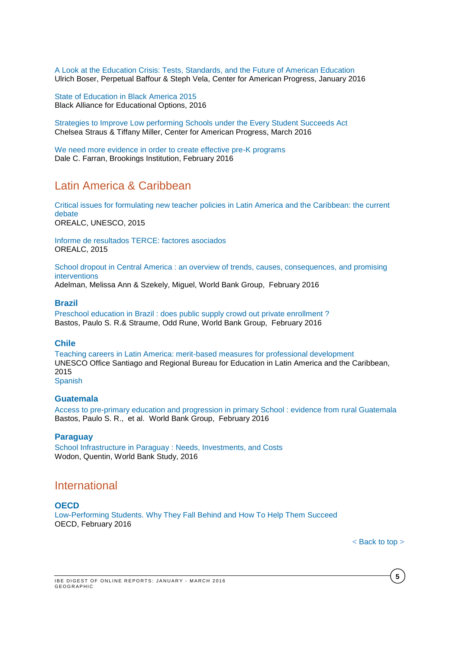[A Look at the Education Crisis: Tests, Standards, and the Future of American Education](https://cdn.americanprogress.org/wp-content/uploads/2016/01/26105959/TUDAreport2.pdf) Ulrich Boser, Perpetual Baffour & Steph Vela, Center for American Progress, January 2016

[State of Education in Black America 2015](http://scoter2.baeo.org/downloads.php?download_id=441&filename=StateOfEducationInBlackAmerica2015_Report.pdf) Black Alliance for Educational Options, 2016

[Strategies to Improve Low performing Schools under the Every Student Succeeds Act](https://cdn.americanprogress.org/wp-content/uploads/2016/03/01075517/NonCharterSchools-report.pdf) Chelsea Straus & Tiffany Miller, Center for American Progress, March 2016

[We need more evidence in order to create effective pre-K programs](http://www.brookings.edu/~/media/research/files/reports/2016/02/25-need-more-evidence-create-effective-prek-programs-farran/read-the-paper.pdf) Dale C. Farran, Brookings Institution, February 2016

# Latin America & Caribbean

[Critical issues for formulating new teacher policies in Latin America and the Caribbean: the current](http://unesdoc.unesco.org/images/0024/002436/243639e.pdf)  [debate](http://unesdoc.unesco.org/images/0024/002436/243639e.pdf) OREALC, UNESCO, 2015

Informe de resultados [TERCE: factores asociados](http://unesdoc.unesco.org/images/0024/002435/243533s.pdf) OREALC, 2015

[School dropout in Central America : an overview of trends, causes, consequences, and promising](http://www-wds.worldbank.org/external/default/WDSContentServer/WDSP/IB/2016/02/09/090224b08415e6d0/1_0/Rendered/PDF/School0dropout0mising0interventions.pdf)  [interventions](http://www-wds.worldbank.org/external/default/WDSContentServer/WDSP/IB/2016/02/09/090224b08415e6d0/1_0/Rendered/PDF/School0dropout0mising0interventions.pdf)

Adelman, Melissa Ann & Szekely, Miguel, World Bank Group, February 2016

#### **Brazil**

[Preschool education in Brazil : does public supply crowd out private enrollment ?](http://www-wds.worldbank.org/external/default/WDSContentServer/WDSP/IB/2016/02/25/090224b0841b2c96/2_0/Rendered/PDF/Preschool0educ0private0enrollment00.pdf) Bastos, Paulo S. R.& Straume, Odd Rune, World Bank Group, February 2016

### **Chile**

[Teaching careers in Latin America: merit-based measures for professional development](http://unesdoc.unesco.org/images/0024/002440/244074e.pdf) UNESCO Office Santiago and Regional Bureau for Education in Latin America and the Caribbean, 2015

## [Spanish](http://unesdoc.unesco.org/images/0024/002440/244074s.pdf)

#### **Guatemala**

[Access to pre-primary education and progression in primary School : evidence from rural Guatemala](http://www-wds.worldbank.org/external/default/WDSContentServer/WDSP/IB/2016/02/22/090224b0841a0c90/1_0/Rendered/PDF/Access0to0pre00from0rural0Guatemala.pdf) Bastos, Paulo S. R., et al. World Bank Group, February 2016

#### **Paraguay**

[School Infrastructure in Paraguay](https://openknowledge.worldbank.org/bitstream/handle/10986/22725/9781464804489.pdf?sequence=1&isAllowed=y) : Needs, Investments, and Costs Wodon, Quentin, World Bank Study, 2016

# <span id="page-4-0"></span>International

#### **OECD**

[Low-Performing](http://www.oecd-ilibrary.org/docserver/download/9816011e.pdf?expires=1455550825&id=id&accname=guest&checksum=08B5DC18C99E23E6821D7209DF5728D5) Students. Why They Fall Behind and How To Help Them Succeed OECD, February 2016

**5**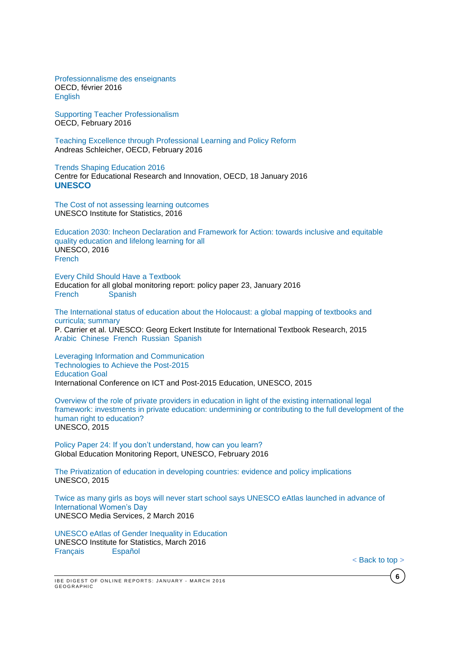[Professionnalisme des enseignants](http://www.oecd-ilibrary.org/education/professionnalisme-des-enseignants_5jm3wkmnqm5l-fr) OECD, février 2016 [English](http://www.oecd-ilibrary.org/education/teacher-professionalism_5jm3xgskpc40-en;jsessionid=cj8n2e7174qhq.x-oecd-live-02)

Supporting Teacher [Professionalism](http://www.oecd-ilibrary.org/docserver/download/8715021e.pdf?expires=1455550716&id=id&accname=ocid57015268&checksum=CEA41EF642959452D909C8C8FB598576) OECD, February 2016

Teaching Excellence through [Professional](http://www.oecd-ilibrary.org/docserver/download/9116041e.pdf?expires=1456218343&id=id&accname=ocid195767&checksum=35522A8C6E95BC7D7FD93FD148595EA5) Learning and Policy Reform Andreas Schleicher, OECD, February 2016

Trends Shaping [Education](http://www.oecd-ilibrary.org/docserver/download/9616011e.pdf?expires=1453279460&id=id&accname=ocid57015268&checksum=B0DDB86B7FE3A9D821E6203B7A7288EF) 2016 Centre for Educational Research and Innovation, OECD, 18 January 2016 **UNESCO**

[The Cost of not assessing learning outcomes](http://unesdoc.unesco.org/images/0024/002435/243565e.pdf) UNESCO Institute for Statistics, 2016

[Education 2030: Incheon Declaration and Framework for Action: towards inclusive and equitable](http://unesdoc.unesco.org/images/0024/002432/243278e.pdf)  [quality education and lifelong learning for all](http://unesdoc.unesco.org/images/0024/002432/243278e.pdf) UNESCO, 2016 [French](http://unesdoc.unesco.org/images/0024/002432/243278f.pdf)

[Every Child Should Have a Textbook](http://unesdoc.unesco.org/images/0024/002433/243321E.pdf) Education for all global monitoring report: policy paper 23, January 2016 [French](http://unesdoc.unesco.org/images/0024/002433/243321F.pdf) [Spanish](http://unesdoc.unesco.org/images/0024/002433/243321S.pdf)

[The International status of education about the Holocaust: a global mapping of textbooks and](http://unesdoc.unesco.org/images/0023/002339/233964e.pdf)  [curricula; summary](http://unesdoc.unesco.org/images/0023/002339/233964e.pdf) P. Carrier et al. UNESCO: Georg Eckert Institute for International Textbook Research, 2015 [Arabic](http://unesdoc.unesco.org/images/0023/002339/233964a.pdf) [Chinese](http://unesdoc.unesco.org/images/0023/002339/233964c.pdf) [French](http://unesdoc.unesco.org/images/0023/002339/233964f.pdf) [Russian](http://unesdoc.unesco.org/images/0023/002339/233964r.pdf) [Spanish](http://unesdoc.unesco.org/images/0023/002339/233964s.pdf) 

[Leveraging Information and Communication](http://unesdoc.unesco.org/images/0024/002430/243076e.pdf) [Technologies to Achieve the Post-2015](http://unesdoc.unesco.org/images/0024/002430/243076e.pdf) [Education](http://unesdoc.unesco.org/images/0024/002430/243076e.pdf) Goal International Conference on ICT and Post-2015 Education, UNESCO, 2015

[Overview of the role of private providers in education in light of the existing international legal](http://unesdoc.unesco.org/images/0024/002438/243823e.pdf)  [framework: investments in private education: undermining or contributing to the full development of the](http://unesdoc.unesco.org/images/0024/002438/243823e.pdf)  [human right to education?](http://unesdoc.unesco.org/images/0024/002438/243823e.pdf) UNESCO, 2015

[Policy Paper 24: If you don't understand, how can you learn?](http://unesdoc.unesco.org/images/0024/002437/243713E.pdf) Global Education Monitoring Report, UNESCO, February 2016

[The Privatization of education in developing countries: evidence and policy implications](http://unesdoc.unesco.org/images/0024/002438/243824e.pdf) UNESCO, 2015

[Twice as many girls as boys will never start school says UNESCO eAtlas launched in advance of](http://www.unesco.org/new/en/media-services/single-view/news/twice_as_many_girls_as_boys_will_never_start_school_says_unesco_eatlas_launched_in_advance_of_international_womens_day/#.VtgRYPnhCUl)  [International Women's Day](http://www.unesco.org/new/en/media-services/single-view/news/twice_as_many_girls_as_boys_will_never_start_school_says_unesco_eatlas_launched_in_advance_of_international_womens_day/#.VtgRYPnhCUl) UNESCO Media Services, 2 March 2016

[UNESCO eAtlas of Gender Inequality in Education](http://www.tellmaps.com/uis/gender/) UNESCO Institute for Statistics, March 2016 [Français](http://www.tellmaps.com/uis/gender/?subject=-1195952519&lang=fr) [Español](http://www.tellmaps.com/uis/gender/?subject=-1195952519&lang=es)

**6**